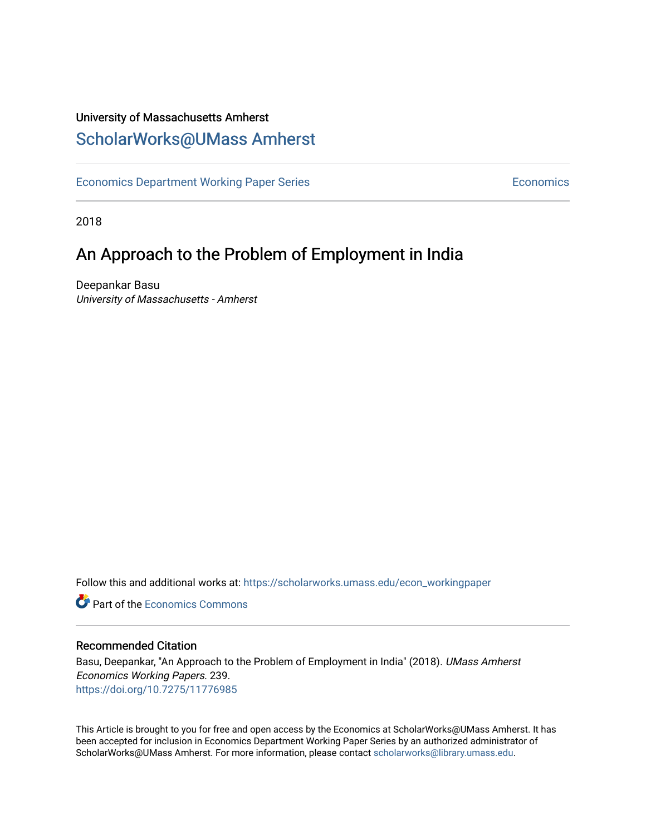# University of Massachusetts Amherst [ScholarWorks@UMass Amherst](https://scholarworks.umass.edu/)

[Economics Department Working Paper Series](https://scholarworks.umass.edu/econ_workingpaper) **Economics** Economics

2018

# An Approach to the Problem of Employment in India

Deepankar Basu University of Massachusetts - Amherst

Follow this and additional works at: [https://scholarworks.umass.edu/econ\\_workingpaper](https://scholarworks.umass.edu/econ_workingpaper?utm_source=scholarworks.umass.edu%2Fecon_workingpaper%2F239&utm_medium=PDF&utm_campaign=PDFCoverPages) 

**C** Part of the [Economics Commons](http://network.bepress.com/hgg/discipline/340?utm_source=scholarworks.umass.edu%2Fecon_workingpaper%2F239&utm_medium=PDF&utm_campaign=PDFCoverPages)

#### Recommended Citation

Basu, Deepankar, "An Approach to the Problem of Employment in India" (2018). UMass Amherst Economics Working Papers. 239. <https://doi.org/10.7275/11776985>

This Article is brought to you for free and open access by the Economics at ScholarWorks@UMass Amherst. It has been accepted for inclusion in Economics Department Working Paper Series by an authorized administrator of ScholarWorks@UMass Amherst. For more information, please contact [scholarworks@library.umass.edu.](mailto:scholarworks@library.umass.edu)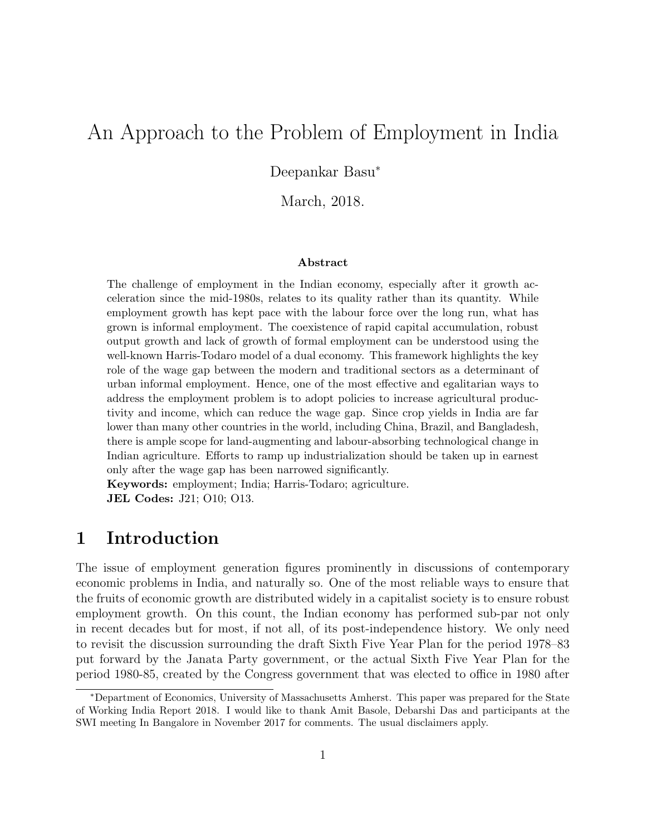# An Approach to the Problem of Employment in India

Deepankar Basu<sup>∗</sup>

March, 2018.

#### Abstract

The challenge of employment in the Indian economy, especially after it growth acceleration since the mid-1980s, relates to its quality rather than its quantity. While employment growth has kept pace with the labour force over the long run, what has grown is informal employment. The coexistence of rapid capital accumulation, robust output growth and lack of growth of formal employment can be understood using the well-known Harris-Todaro model of a dual economy. This framework highlights the key role of the wage gap between the modern and traditional sectors as a determinant of urban informal employment. Hence, one of the most effective and egalitarian ways to address the employment problem is to adopt policies to increase agricultural productivity and income, which can reduce the wage gap. Since crop yields in India are far lower than many other countries in the world, including China, Brazil, and Bangladesh, there is ample scope for land-augmenting and labour-absorbing technological change in Indian agriculture. Efforts to ramp up industrialization should be taken up in earnest only after the wage gap has been narrowed significantly.

Keywords: employment; India; Harris-Todaro; agriculture. JEL Codes: J21; O10; O13.

# 1 Introduction

The issue of employment generation figures prominently in discussions of contemporary economic problems in India, and naturally so. One of the most reliable ways to ensure that the fruits of economic growth are distributed widely in a capitalist society is to ensure robust employment growth. On this count, the Indian economy has performed sub-par not only in recent decades but for most, if not all, of its post-independence history. We only need to revisit the discussion surrounding the draft Sixth Five Year Plan for the period 1978–83 put forward by the Janata Party government, or the actual Sixth Five Year Plan for the period 1980-85, created by the Congress government that was elected to office in 1980 after

<sup>∗</sup>Department of Economics, University of Massachusetts Amherst. This paper was prepared for the State of Working India Report 2018. I would like to thank Amit Basole, Debarshi Das and participants at the SWI meeting In Bangalore in November 2017 for comments. The usual disclaimers apply.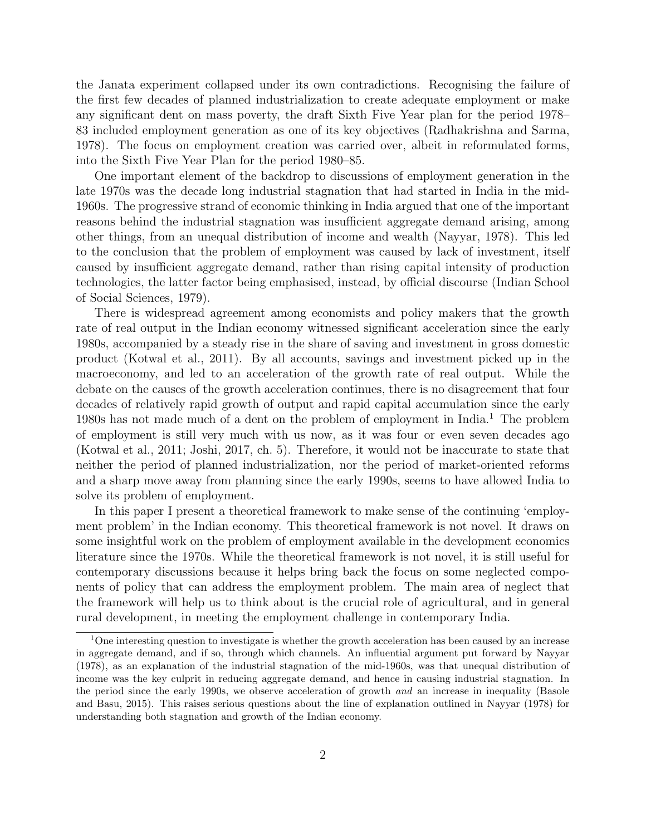the Janata experiment collapsed under its own contradictions. Recognising the failure of the first few decades of planned industrialization to create adequate employment or make any significant dent on mass poverty, the draft Sixth Five Year plan for the period 1978– 83 included employment generation as one of its key objectives (Radhakrishna and Sarma, 1978). The focus on employment creation was carried over, albeit in reformulated forms, into the Sixth Five Year Plan for the period 1980–85.

One important element of the backdrop to discussions of employment generation in the late 1970s was the decade long industrial stagnation that had started in India in the mid-1960s. The progressive strand of economic thinking in India argued that one of the important reasons behind the industrial stagnation was insufficient aggregate demand arising, among other things, from an unequal distribution of income and wealth (Nayyar, 1978). This led to the conclusion that the problem of employment was caused by lack of investment, itself caused by insufficient aggregate demand, rather than rising capital intensity of production technologies, the latter factor being emphasised, instead, by official discourse (Indian School of Social Sciences, 1979).

There is widespread agreement among economists and policy makers that the growth rate of real output in the Indian economy witnessed significant acceleration since the early 1980s, accompanied by a steady rise in the share of saving and investment in gross domestic product (Kotwal et al., 2011). By all accounts, savings and investment picked up in the macroeconomy, and led to an acceleration of the growth rate of real output. While the debate on the causes of the growth acceleration continues, there is no disagreement that four decades of relatively rapid growth of output and rapid capital accumulation since the early 1980s has not made much of a dent on the problem of employment in India.<sup>1</sup> The problem of employment is still very much with us now, as it was four or even seven decades ago (Kotwal et al., 2011; Joshi, 2017, ch. 5). Therefore, it would not be inaccurate to state that neither the period of planned industrialization, nor the period of market-oriented reforms and a sharp move away from planning since the early 1990s, seems to have allowed India to solve its problem of employment.

In this paper I present a theoretical framework to make sense of the continuing 'employment problem' in the Indian economy. This theoretical framework is not novel. It draws on some insightful work on the problem of employment available in the development economics literature since the 1970s. While the theoretical framework is not novel, it is still useful for contemporary discussions because it helps bring back the focus on some neglected components of policy that can address the employment problem. The main area of neglect that the framework will help us to think about is the crucial role of agricultural, and in general rural development, in meeting the employment challenge in contemporary India.

<sup>&</sup>lt;sup>1</sup>One interesting question to investigate is whether the growth acceleration has been caused by an increase in aggregate demand, and if so, through which channels. An influential argument put forward by Nayyar (1978), as an explanation of the industrial stagnation of the mid-1960s, was that unequal distribution of income was the key culprit in reducing aggregate demand, and hence in causing industrial stagnation. In the period since the early 1990s, we observe acceleration of growth and an increase in inequality (Basole and Basu, 2015). This raises serious questions about the line of explanation outlined in Nayyar (1978) for understanding both stagnation and growth of the Indian economy.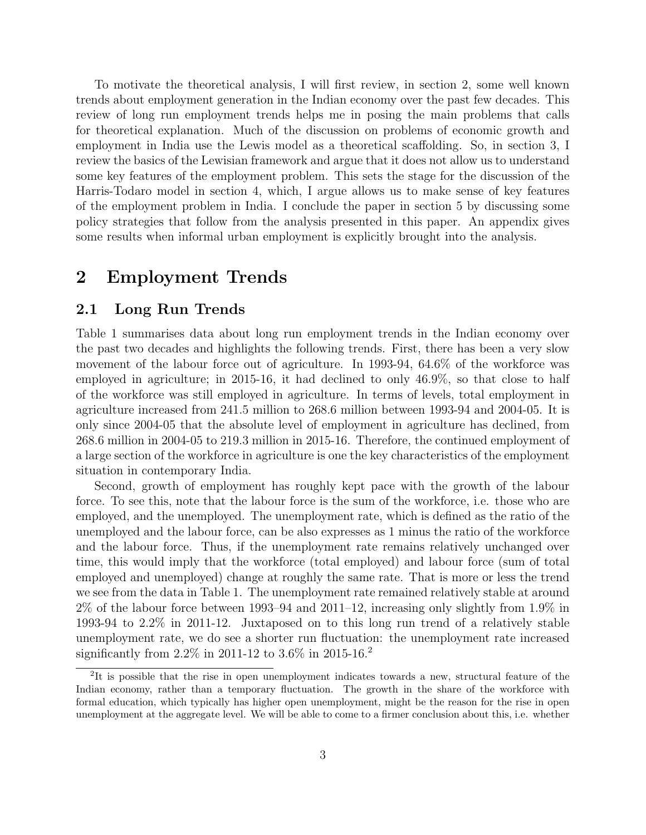To motivate the theoretical analysis, I will first review, in section 2, some well known trends about employment generation in the Indian economy over the past few decades. This review of long run employment trends helps me in posing the main problems that calls for theoretical explanation. Much of the discussion on problems of economic growth and employment in India use the Lewis model as a theoretical scaffolding. So, in section 3, I review the basics of the Lewisian framework and argue that it does not allow us to understand some key features of the employment problem. This sets the stage for the discussion of the Harris-Todaro model in section 4, which, I argue allows us to make sense of key features of the employment problem in India. I conclude the paper in section 5 by discussing some policy strategies that follow from the analysis presented in this paper. An appendix gives some results when informal urban employment is explicitly brought into the analysis.

## 2 Employment Trends

### 2.1 Long Run Trends

Table 1 summarises data about long run employment trends in the Indian economy over the past two decades and highlights the following trends. First, there has been a very slow movement of the labour force out of agriculture. In 1993-94, 64.6% of the workforce was employed in agriculture; in 2015-16, it had declined to only 46.9%, so that close to half of the workforce was still employed in agriculture. In terms of levels, total employment in agriculture increased from 241.5 million to 268.6 million between 1993-94 and 2004-05. It is only since 2004-05 that the absolute level of employment in agriculture has declined, from 268.6 million in 2004-05 to 219.3 million in 2015-16. Therefore, the continued employment of a large section of the workforce in agriculture is one the key characteristics of the employment situation in contemporary India.

Second, growth of employment has roughly kept pace with the growth of the labour force. To see this, note that the labour force is the sum of the workforce, i.e. those who are employed, and the unemployed. The unemployment rate, which is defined as the ratio of the unemployed and the labour force, can be also expresses as 1 minus the ratio of the workforce and the labour force. Thus, if the unemployment rate remains relatively unchanged over time, this would imply that the workforce (total employed) and labour force (sum of total employed and unemployed) change at roughly the same rate. That is more or less the trend we see from the data in Table 1. The unemployment rate remained relatively stable at around 2% of the labour force between 1993–94 and 2011–12, increasing only slightly from 1.9% in 1993-94 to 2.2% in 2011-12. Juxtaposed on to this long run trend of a relatively stable unemployment rate, we do see a shorter run fluctuation: the unemployment rate increased significantly from  $2.2\%$  in 2011-12 to  $3.6\%$  in 2015-16.<sup>2</sup>

<sup>&</sup>lt;sup>2</sup>It is possible that the rise in open unemployment indicates towards a new, structural feature of the Indian economy, rather than a temporary fluctuation. The growth in the share of the workforce with formal education, which typically has higher open unemployment, might be the reason for the rise in open unemployment at the aggregate level. We will be able to come to a firmer conclusion about this, i.e. whether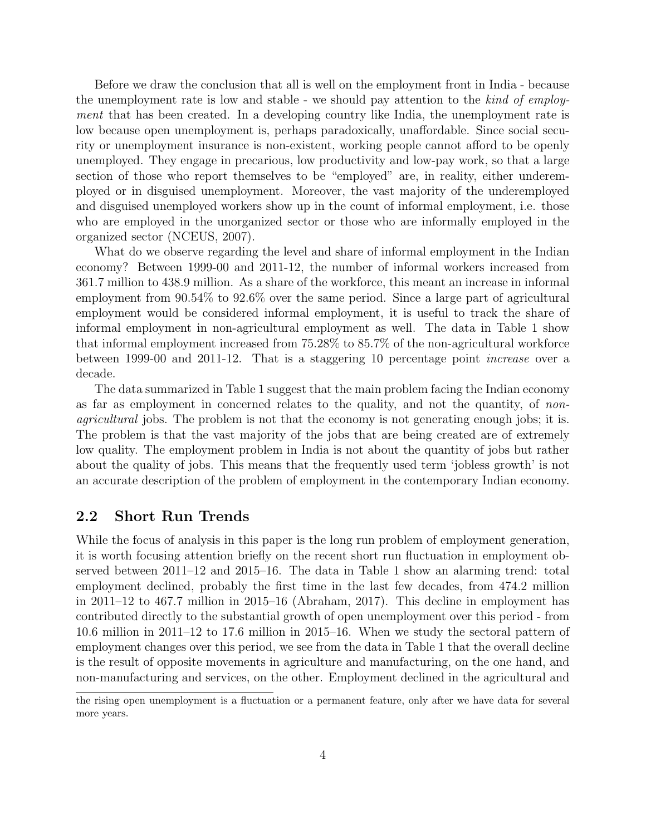Before we draw the conclusion that all is well on the employment front in India - because the unemployment rate is low and stable - we should pay attention to the kind of employment that has been created. In a developing country like India, the unemployment rate is low because open unemployment is, perhaps paradoxically, unaffordable. Since social security or unemployment insurance is non-existent, working people cannot afford to be openly unemployed. They engage in precarious, low productivity and low-pay work, so that a large section of those who report themselves to be "employed" are, in reality, either underemployed or in disguised unemployment. Moreover, the vast majority of the underemployed and disguised unemployed workers show up in the count of informal employment, i.e. those who are employed in the unorganized sector or those who are informally employed in the organized sector (NCEUS, 2007).

What do we observe regarding the level and share of informal employment in the Indian economy? Between 1999-00 and 2011-12, the number of informal workers increased from 361.7 million to 438.9 million. As a share of the workforce, this meant an increase in informal employment from 90.54% to 92.6% over the same period. Since a large part of agricultural employment would be considered informal employment, it is useful to track the share of informal employment in non-agricultural employment as well. The data in Table 1 show that informal employment increased from 75.28% to 85.7% of the non-agricultural workforce between 1999-00 and 2011-12. That is a staggering 10 percentage point increase over a decade.

The data summarized in Table 1 suggest that the main problem facing the Indian economy as far as employment in concerned relates to the quality, and not the quantity, of nonagricultural jobs. The problem is not that the economy is not generating enough jobs; it is. The problem is that the vast majority of the jobs that are being created are of extremely low quality. The employment problem in India is not about the quantity of jobs but rather about the quality of jobs. This means that the frequently used term 'jobless growth' is not an accurate description of the problem of employment in the contemporary Indian economy.

#### 2.2 Short Run Trends

While the focus of analysis in this paper is the long run problem of employment generation, it is worth focusing attention briefly on the recent short run fluctuation in employment observed between 2011–12 and 2015–16. The data in Table 1 show an alarming trend: total employment declined, probably the first time in the last few decades, from 474.2 million in 2011–12 to 467.7 million in 2015–16 (Abraham, 2017). This decline in employment has contributed directly to the substantial growth of open unemployment over this period - from 10.6 million in 2011–12 to 17.6 million in 2015–16. When we study the sectoral pattern of employment changes over this period, we see from the data in Table 1 that the overall decline is the result of opposite movements in agriculture and manufacturing, on the one hand, and non-manufacturing and services, on the other. Employment declined in the agricultural and

the rising open unemployment is a fluctuation or a permanent feature, only after we have data for several more years.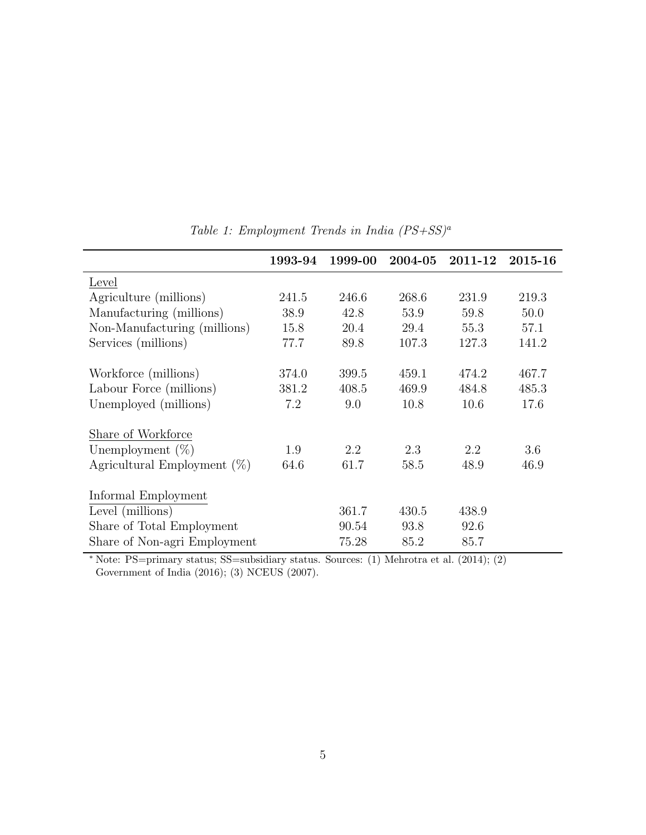|                                | 1993-94 | 1999-00 | 2004-05 | 2011-12 | 2015-16 |
|--------------------------------|---------|---------|---------|---------|---------|
| Level                          |         |         |         |         |         |
| Agriculture (millions)         | 241.5   | 246.6   | 268.6   | 231.9   | 219.3   |
| Manufacturing (millions)       | 38.9    | 42.8    | 53.9    | 59.8    | 50.0    |
| Non-Manufacturing (millions)   | 15.8    | 20.4    | 29.4    | 55.3    | 57.1    |
| Services (millions)            | 77.7    | 89.8    | 107.3   | 127.3   | 141.2   |
|                                | 374.0   | 399.5   | 459.1   | 474.2   | 467.7   |
| Workforce (millions)           |         |         |         |         |         |
| Labour Force (millions)        | 381.2   | 408.5   | 469.9   | 484.8   | 485.3   |
| Unemployed (millions)          | 7.2     | 9.0     | 10.8    | 10.6    | 17.6    |
| Share of Workforce             |         |         |         |         |         |
| Unemployment $(\%)$            | 1.9     | 2.2     | 2.3     | 2.2     | 3.6     |
| Agricultural Employment $(\%)$ | 64.6    | 61.7    | 58.5    | 48.9    | 46.9    |
| Informal Employment            |         |         |         |         |         |
|                                |         |         |         |         |         |
| Level (millions)               |         | 361.7   | 430.5   | 438.9   |         |
| Share of Total Employment      |         | 90.54   | 93.8    | 92.6    |         |
| Share of Non-agri Employment   |         | 75.28   | 85.2    | 85.7    |         |

Table 1: Employment Trends in India  $(PS+SS)^a$ 

<sup>∗</sup> Note: PS=primary status; SS=subsidiary status. Sources: (1) Mehrotra et al. (2014); (2) Government of India (2016); (3) NCEUS (2007).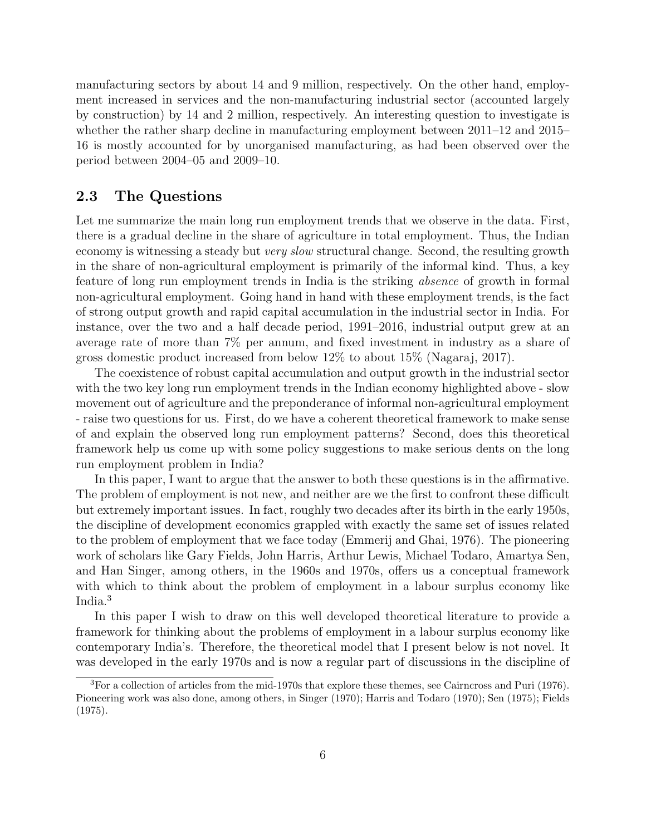manufacturing sectors by about 14 and 9 million, respectively. On the other hand, employment increased in services and the non-manufacturing industrial sector (accounted largely by construction) by 14 and 2 million, respectively. An interesting question to investigate is whether the rather sharp decline in manufacturing employment between 2011–12 and 2015– 16 is mostly accounted for by unorganised manufacturing, as had been observed over the period between 2004–05 and 2009–10.

### 2.3 The Questions

Let me summarize the main long run employment trends that we observe in the data. First, there is a gradual decline in the share of agriculture in total employment. Thus, the Indian economy is witnessing a steady but *very slow* structural change. Second, the resulting growth in the share of non-agricultural employment is primarily of the informal kind. Thus, a key feature of long run employment trends in India is the striking absence of growth in formal non-agricultural employment. Going hand in hand with these employment trends, is the fact of strong output growth and rapid capital accumulation in the industrial sector in India. For instance, over the two and a half decade period, 1991–2016, industrial output grew at an average rate of more than 7% per annum, and fixed investment in industry as a share of gross domestic product increased from below 12% to about 15% (Nagaraj, 2017).

The coexistence of robust capital accumulation and output growth in the industrial sector with the two key long run employment trends in the Indian economy highlighted above - slow movement out of agriculture and the preponderance of informal non-agricultural employment - raise two questions for us. First, do we have a coherent theoretical framework to make sense of and explain the observed long run employment patterns? Second, does this theoretical framework help us come up with some policy suggestions to make serious dents on the long run employment problem in India?

In this paper, I want to argue that the answer to both these questions is in the affirmative. The problem of employment is not new, and neither are we the first to confront these difficult but extremely important issues. In fact, roughly two decades after its birth in the early 1950s, the discipline of development economics grappled with exactly the same set of issues related to the problem of employment that we face today (Emmerij and Ghai, 1976). The pioneering work of scholars like Gary Fields, John Harris, Arthur Lewis, Michael Todaro, Amartya Sen, and Han Singer, among others, in the 1960s and 1970s, offers us a conceptual framework with which to think about the problem of employment in a labour surplus economy like India.<sup>3</sup>

In this paper I wish to draw on this well developed theoretical literature to provide a framework for thinking about the problems of employment in a labour surplus economy like contemporary India's. Therefore, the theoretical model that I present below is not novel. It was developed in the early 1970s and is now a regular part of discussions in the discipline of

 ${}^{3}$ For a collection of articles from the mid-1970s that explore these themes, see Cairncross and Puri (1976). Pioneering work was also done, among others, in Singer (1970); Harris and Todaro (1970); Sen (1975); Fields (1975).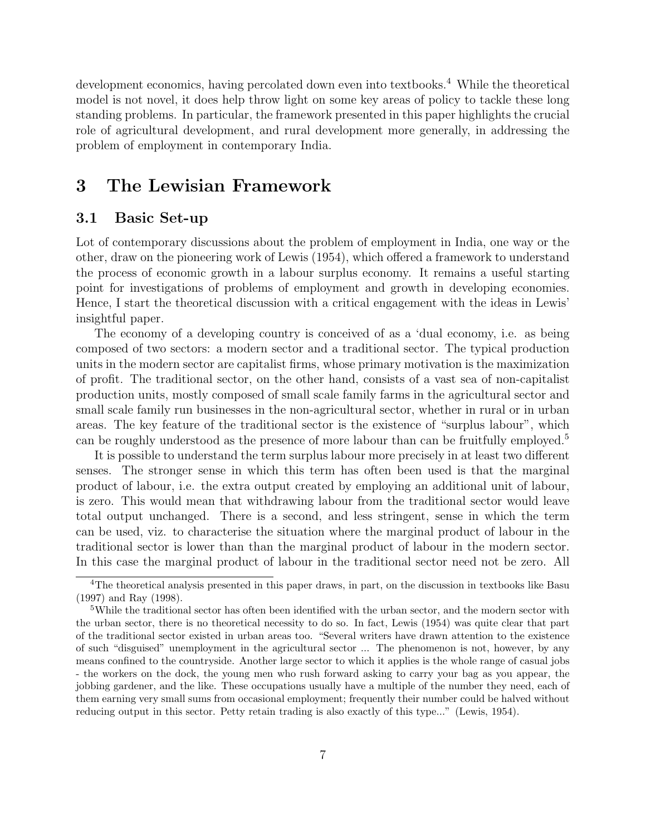development economics, having percolated down even into textbooks.<sup>4</sup> While the theoretical model is not novel, it does help throw light on some key areas of policy to tackle these long standing problems. In particular, the framework presented in this paper highlights the crucial role of agricultural development, and rural development more generally, in addressing the problem of employment in contemporary India.

# 3 The Lewisian Framework

### 3.1 Basic Set-up

Lot of contemporary discussions about the problem of employment in India, one way or the other, draw on the pioneering work of Lewis (1954), which offered a framework to understand the process of economic growth in a labour surplus economy. It remains a useful starting point for investigations of problems of employment and growth in developing economies. Hence, I start the theoretical discussion with a critical engagement with the ideas in Lewis' insightful paper.

The economy of a developing country is conceived of as a 'dual economy, i.e. as being composed of two sectors: a modern sector and a traditional sector. The typical production units in the modern sector are capitalist firms, whose primary motivation is the maximization of profit. The traditional sector, on the other hand, consists of a vast sea of non-capitalist production units, mostly composed of small scale family farms in the agricultural sector and small scale family run businesses in the non-agricultural sector, whether in rural or in urban areas. The key feature of the traditional sector is the existence of "surplus labour", which can be roughly understood as the presence of more labour than can be fruitfully employed.<sup>5</sup>

It is possible to understand the term surplus labour more precisely in at least two different senses. The stronger sense in which this term has often been used is that the marginal product of labour, i.e. the extra output created by employing an additional unit of labour, is zero. This would mean that withdrawing labour from the traditional sector would leave total output unchanged. There is a second, and less stringent, sense in which the term can be used, viz. to characterise the situation where the marginal product of labour in the traditional sector is lower than than the marginal product of labour in the modern sector. In this case the marginal product of labour in the traditional sector need not be zero. All

<sup>&</sup>lt;sup>4</sup>The theoretical analysis presented in this paper draws, in part, on the discussion in textbooks like Basu (1997) and Ray (1998).

<sup>5</sup>While the traditional sector has often been identified with the urban sector, and the modern sector with the urban sector, there is no theoretical necessity to do so. In fact, Lewis (1954) was quite clear that part of the traditional sector existed in urban areas too. "Several writers have drawn attention to the existence of such "disguised" unemployment in the agricultural sector ... The phenomenon is not, however, by any means confined to the countryside. Another large sector to which it applies is the whole range of casual jobs - the workers on the dock, the young men who rush forward asking to carry your bag as you appear, the jobbing gardener, and the like. These occupations usually have a multiple of the number they need, each of them earning very small sums from occasional employment; frequently their number could be halved without reducing output in this sector. Petty retain trading is also exactly of this type..." (Lewis, 1954).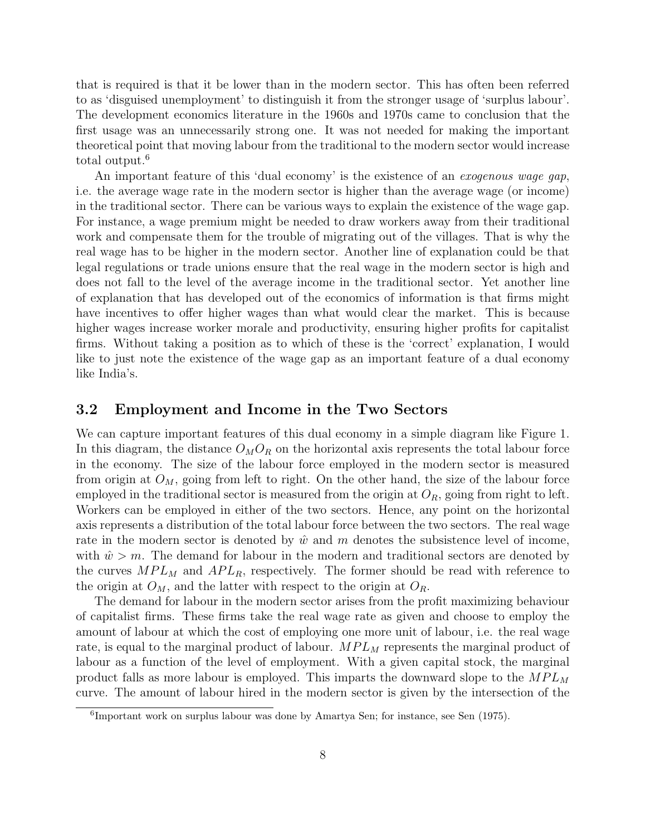that is required is that it be lower than in the modern sector. This has often been referred to as 'disguised unemployment' to distinguish it from the stronger usage of 'surplus labour'. The development economics literature in the 1960s and 1970s came to conclusion that the first usage was an unnecessarily strong one. It was not needed for making the important theoretical point that moving labour from the traditional to the modern sector would increase total output.<sup>6</sup>

An important feature of this 'dual economy' is the existence of an exogenous wage gap, i.e. the average wage rate in the modern sector is higher than the average wage (or income) in the traditional sector. There can be various ways to explain the existence of the wage gap. For instance, a wage premium might be needed to draw workers away from their traditional work and compensate them for the trouble of migrating out of the villages. That is why the real wage has to be higher in the modern sector. Another line of explanation could be that legal regulations or trade unions ensure that the real wage in the modern sector is high and does not fall to the level of the average income in the traditional sector. Yet another line of explanation that has developed out of the economics of information is that firms might have incentives to offer higher wages than what would clear the market. This is because higher wages increase worker morale and productivity, ensuring higher profits for capitalist firms. Without taking a position as to which of these is the 'correct' explanation, I would like to just note the existence of the wage gap as an important feature of a dual economy like India's.

#### 3.2 Employment and Income in the Two Sectors

We can capture important features of this dual economy in a simple diagram like Figure 1. In this diagram, the distance  $O_M O_R$  on the horizontal axis represents the total labour force in the economy. The size of the labour force employed in the modern sector is measured from origin at  $O_M$ , going from left to right. On the other hand, the size of the labour force employed in the traditional sector is measured from the origin at  $O_R$ , going from right to left. Workers can be employed in either of the two sectors. Hence, any point on the horizontal axis represents a distribution of the total labour force between the two sectors. The real wage rate in the modern sector is denoted by  $\hat{w}$  and m denotes the subsistence level of income, with  $\hat{w} > m$ . The demand for labour in the modern and traditional sectors are denoted by the curves  $MPL_M$  and  $APL_R$ , respectively. The former should be read with reference to the origin at  $O_M$ , and the latter with respect to the origin at  $O_R$ .

The demand for labour in the modern sector arises from the profit maximizing behaviour of capitalist firms. These firms take the real wage rate as given and choose to employ the amount of labour at which the cost of employing one more unit of labour, i.e. the real wage rate, is equal to the marginal product of labour.  $MPL_M$  represents the marginal product of labour as a function of the level of employment. With a given capital stock, the marginal product falls as more labour is employed. This imparts the downward slope to the  $MPL_M$ curve. The amount of labour hired in the modern sector is given by the intersection of the

<sup>6</sup> Important work on surplus labour was done by Amartya Sen; for instance, see Sen (1975).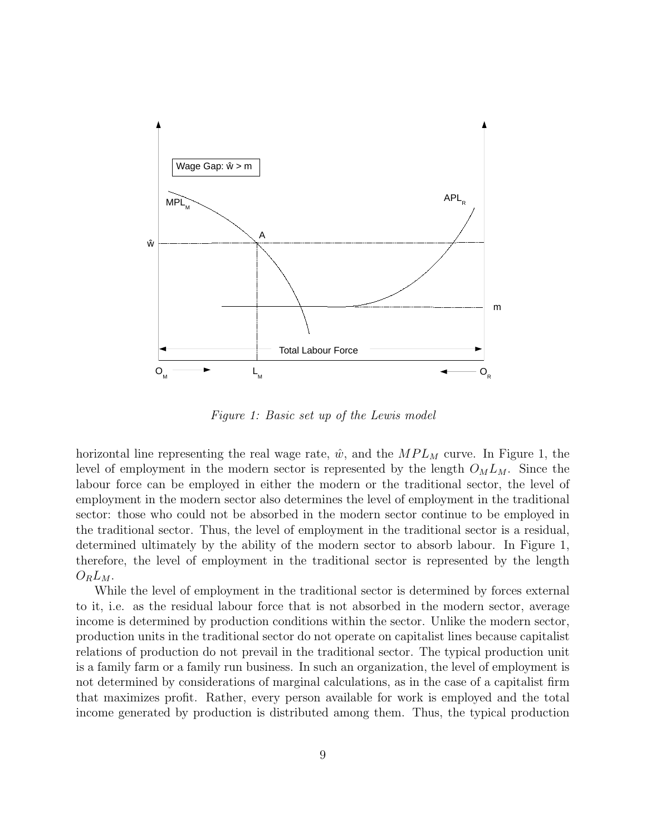

Figure 1: Basic set up of the Lewis model

horizontal line representing the real wage rate,  $\hat{w}$ , and the  $MPL_M$  curve. In Figure 1, the level of employment in the modern sector is represented by the length  $O_M L_M$ . Since the labour force can be employed in either the modern or the traditional sector, the level of employment in the modern sector also determines the level of employment in the traditional sector: those who could not be absorbed in the modern sector continue to be employed in the traditional sector. Thus, the level of employment in the traditional sector is a residual, determined ultimately by the ability of the modern sector to absorb labour. In Figure 1, therefore, the level of employment in the traditional sector is represented by the length  $O_R L_M$ .

While the level of employment in the traditional sector is determined by forces external to it, i.e. as the residual labour force that is not absorbed in the modern sector, average income is determined by production conditions within the sector. Unlike the modern sector, production units in the traditional sector do not operate on capitalist lines because capitalist relations of production do not prevail in the traditional sector. The typical production unit is a family farm or a family run business. In such an organization, the level of employment is not determined by considerations of marginal calculations, as in the case of a capitalist firm that maximizes profit. Rather, every person available for work is employed and the total income generated by production is distributed among them. Thus, the typical production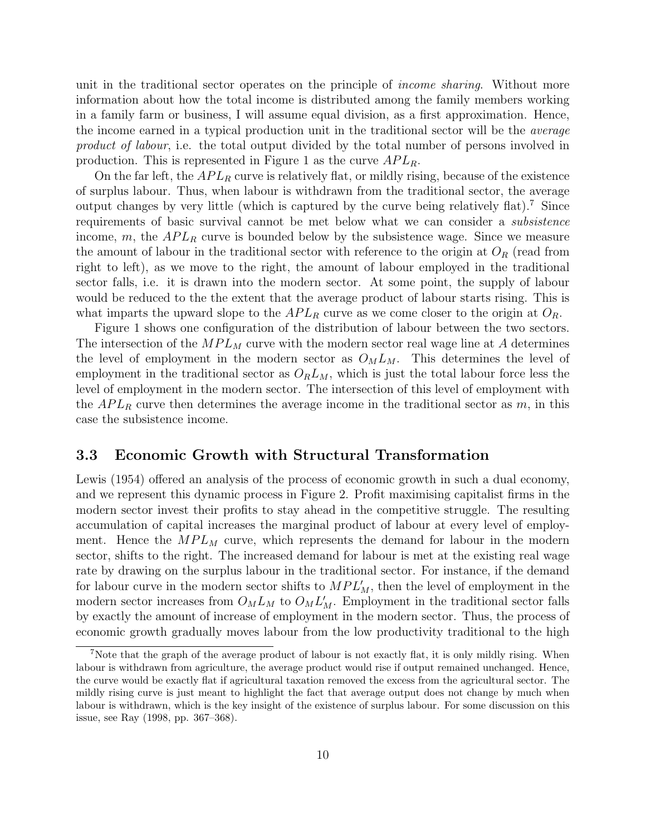unit in the traditional sector operates on the principle of *income sharing*. Without more information about how the total income is distributed among the family members working in a family farm or business, I will assume equal division, as a first approximation. Hence, the income earned in a typical production unit in the traditional sector will be the average product of labour, i.e. the total output divided by the total number of persons involved in production. This is represented in Figure 1 as the curve  $APL<sub>R</sub>$ .

On the far left, the  $APL_R$  curve is relatively flat, or mildly rising, because of the existence of surplus labour. Thus, when labour is withdrawn from the traditional sector, the average output changes by very little (which is captured by the curve being relatively flat).<sup>7</sup> Since requirements of basic survival cannot be met below what we can consider a subsistence income, m, the  $APL<sub>R</sub>$  curve is bounded below by the subsistence wage. Since we measure the amount of labour in the traditional sector with reference to the origin at  $O_R$  (read from right to left), as we move to the right, the amount of labour employed in the traditional sector falls, i.e. it is drawn into the modern sector. At some point, the supply of labour would be reduced to the the extent that the average product of labour starts rising. This is what imparts the upward slope to the  $APL_R$  curve as we come closer to the origin at  $O_R$ .

Figure 1 shows one configuration of the distribution of labour between the two sectors. The intersection of the  $MPL_M$  curve with the modern sector real wage line at A determines the level of employment in the modern sector as  $O_M L_M$ . This determines the level of employment in the traditional sector as  $O_R L_M$ , which is just the total labour force less the level of employment in the modern sector. The intersection of this level of employment with the  $APL_R$  curve then determines the average income in the traditional sector as m, in this case the subsistence income.

#### 3.3 Economic Growth with Structural Transformation

Lewis (1954) offered an analysis of the process of economic growth in such a dual economy, and we represent this dynamic process in Figure 2. Profit maximising capitalist firms in the modern sector invest their profits to stay ahead in the competitive struggle. The resulting accumulation of capital increases the marginal product of labour at every level of employment. Hence the  $MPL_M$  curve, which represents the demand for labour in the modern sector, shifts to the right. The increased demand for labour is met at the existing real wage rate by drawing on the surplus labour in the traditional sector. For instance, if the demand for labour curve in the modern sector shifts to  $MPL'_{M}$ , then the level of employment in the modern sector increases from  $O_M L_M$  to  $O_M L'_M$ . Employment in the traditional sector falls by exactly the amount of increase of employment in the modern sector. Thus, the process of economic growth gradually moves labour from the low productivity traditional to the high

<sup>7</sup>Note that the graph of the average product of labour is not exactly flat, it is only mildly rising. When labour is withdrawn from agriculture, the average product would rise if output remained unchanged. Hence, the curve would be exactly flat if agricultural taxation removed the excess from the agricultural sector. The mildly rising curve is just meant to highlight the fact that average output does not change by much when labour is withdrawn, which is the key insight of the existence of surplus labour. For some discussion on this issue, see Ray (1998, pp. 367–368).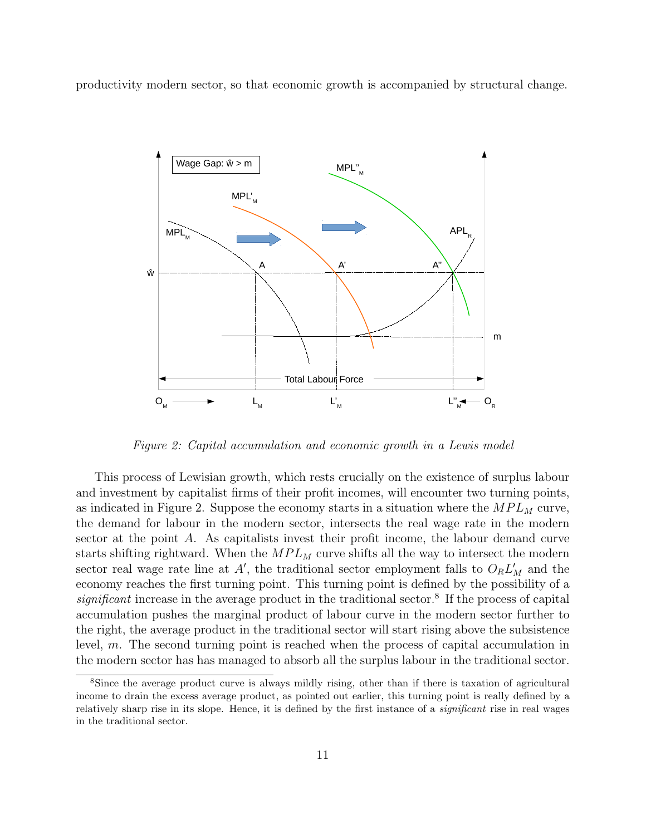productivity modern sector, so that economic growth is accompanied by structural change.



Figure 2: Capital accumulation and economic growth in a Lewis model

This process of Lewisian growth, which rests crucially on the existence of surplus labour and investment by capitalist firms of their profit incomes, will encounter two turning points, as indicated in Figure 2. Suppose the economy starts in a situation where the  $MPL_M$  curve, the demand for labour in the modern sector, intersects the real wage rate in the modern sector at the point A. As capitalists invest their profit income, the labour demand curve starts shifting rightward. When the  $MPL_M$  curve shifts all the way to intersect the modern sector real wage rate line at  $A'$ , the traditional sector employment falls to  $O_R L_M'$  and the economy reaches the first turning point. This turning point is defined by the possibility of a  $significant$  increase in the average product in the traditional sector.<sup>8</sup> If the process of capital accumulation pushes the marginal product of labour curve in the modern sector further to the right, the average product in the traditional sector will start rising above the subsistence level, m. The second turning point is reached when the process of capital accumulation in the modern sector has has managed to absorb all the surplus labour in the traditional sector.

<sup>8</sup>Since the average product curve is always mildly rising, other than if there is taxation of agricultural income to drain the excess average product, as pointed out earlier, this turning point is really defined by a relatively sharp rise in its slope. Hence, it is defined by the first instance of a *significant* rise in real wages in the traditional sector.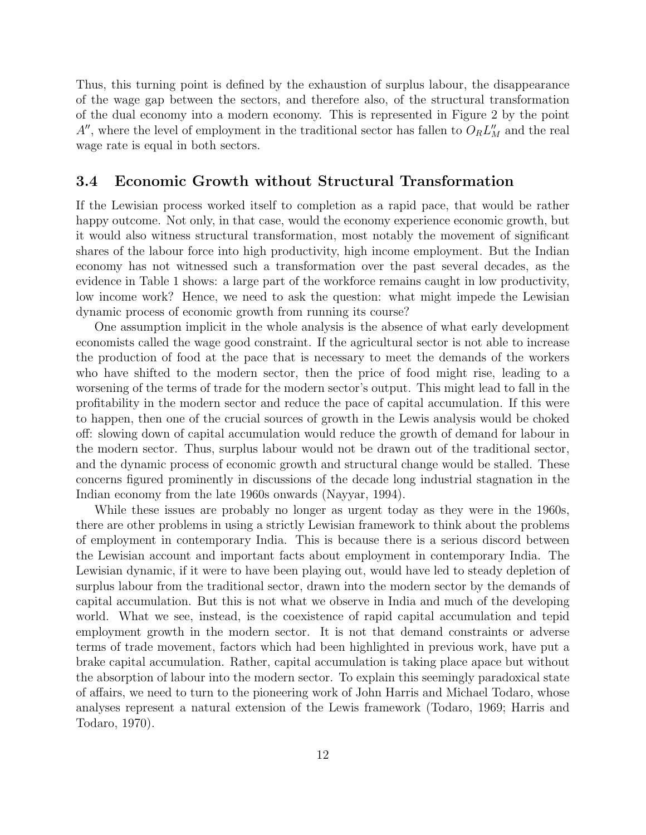Thus, this turning point is defined by the exhaustion of surplus labour, the disappearance of the wage gap between the sectors, and therefore also, of the structural transformation of the dual economy into a modern economy. This is represented in Figure 2 by the point  $A''$ , where the level of employment in the traditional sector has fallen to  $O_R L_M''$  and the real wage rate is equal in both sectors.

### 3.4 Economic Growth without Structural Transformation

If the Lewisian process worked itself to completion as a rapid pace, that would be rather happy outcome. Not only, in that case, would the economy experience economic growth, but it would also witness structural transformation, most notably the movement of significant shares of the labour force into high productivity, high income employment. But the Indian economy has not witnessed such a transformation over the past several decades, as the evidence in Table 1 shows: a large part of the workforce remains caught in low productivity, low income work? Hence, we need to ask the question: what might impede the Lewisian dynamic process of economic growth from running its course?

One assumption implicit in the whole analysis is the absence of what early development economists called the wage good constraint. If the agricultural sector is not able to increase the production of food at the pace that is necessary to meet the demands of the workers who have shifted to the modern sector, then the price of food might rise, leading to a worsening of the terms of trade for the modern sector's output. This might lead to fall in the profitability in the modern sector and reduce the pace of capital accumulation. If this were to happen, then one of the crucial sources of growth in the Lewis analysis would be choked off: slowing down of capital accumulation would reduce the growth of demand for labour in the modern sector. Thus, surplus labour would not be drawn out of the traditional sector, and the dynamic process of economic growth and structural change would be stalled. These concerns figured prominently in discussions of the decade long industrial stagnation in the Indian economy from the late 1960s onwards (Nayyar, 1994).

While these issues are probably no longer as urgent today as they were in the 1960s, there are other problems in using a strictly Lewisian framework to think about the problems of employment in contemporary India. This is because there is a serious discord between the Lewisian account and important facts about employment in contemporary India. The Lewisian dynamic, if it were to have been playing out, would have led to steady depletion of surplus labour from the traditional sector, drawn into the modern sector by the demands of capital accumulation. But this is not what we observe in India and much of the developing world. What we see, instead, is the coexistence of rapid capital accumulation and tepid employment growth in the modern sector. It is not that demand constraints or adverse terms of trade movement, factors which had been highlighted in previous work, have put a brake capital accumulation. Rather, capital accumulation is taking place apace but without the absorption of labour into the modern sector. To explain this seemingly paradoxical state of affairs, we need to turn to the pioneering work of John Harris and Michael Todaro, whose analyses represent a natural extension of the Lewis framework (Todaro, 1969; Harris and Todaro, 1970).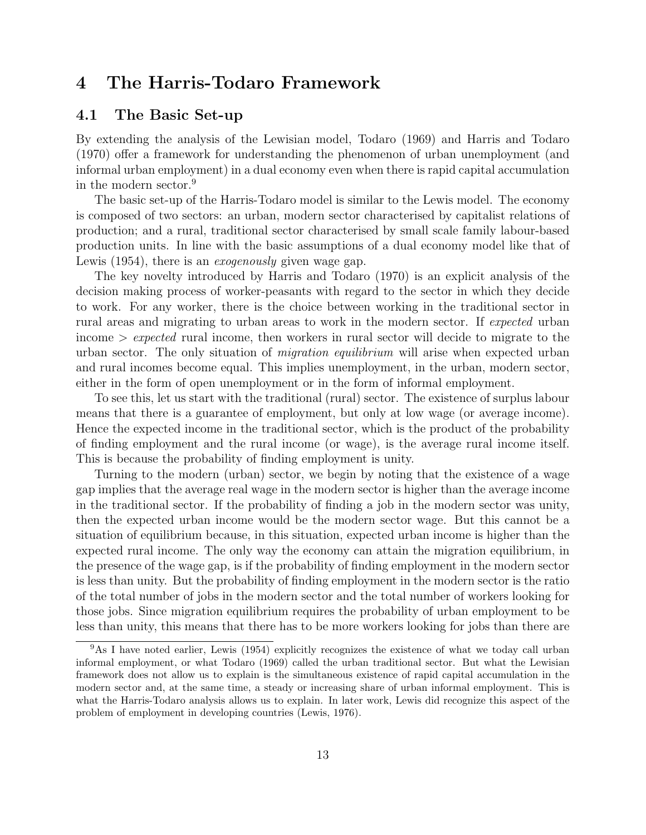# 4 The Harris-Todaro Framework

### 4.1 The Basic Set-up

By extending the analysis of the Lewisian model, Todaro (1969) and Harris and Todaro (1970) offer a framework for understanding the phenomenon of urban unemployment (and informal urban employment) in a dual economy even when there is rapid capital accumulation in the modern sector.<sup>9</sup>

The basic set-up of the Harris-Todaro model is similar to the Lewis model. The economy is composed of two sectors: an urban, modern sector characterised by capitalist relations of production; and a rural, traditional sector characterised by small scale family labour-based production units. In line with the basic assumptions of a dual economy model like that of Lewis (1954), there is an *exogenously* given wage gap.

The key novelty introduced by Harris and Todaro (1970) is an explicit analysis of the decision making process of worker-peasants with regard to the sector in which they decide to work. For any worker, there is the choice between working in the traditional sector in rural areas and migrating to urban areas to work in the modern sector. If expected urban income  $\geq$  expected rural income, then workers in rural sector will decide to migrate to the urban sector. The only situation of *migration equilibrium* will arise when expected urban and rural incomes become equal. This implies unemployment, in the urban, modern sector, either in the form of open unemployment or in the form of informal employment.

To see this, let us start with the traditional (rural) sector. The existence of surplus labour means that there is a guarantee of employment, but only at low wage (or average income). Hence the expected income in the traditional sector, which is the product of the probability of finding employment and the rural income (or wage), is the average rural income itself. This is because the probability of finding employment is unity.

Turning to the modern (urban) sector, we begin by noting that the existence of a wage gap implies that the average real wage in the modern sector is higher than the average income in the traditional sector. If the probability of finding a job in the modern sector was unity, then the expected urban income would be the modern sector wage. But this cannot be a situation of equilibrium because, in this situation, expected urban income is higher than the expected rural income. The only way the economy can attain the migration equilibrium, in the presence of the wage gap, is if the probability of finding employment in the modern sector is less than unity. But the probability of finding employment in the modern sector is the ratio of the total number of jobs in the modern sector and the total number of workers looking for those jobs. Since migration equilibrium requires the probability of urban employment to be less than unity, this means that there has to be more workers looking for jobs than there are

<sup>&</sup>lt;sup>9</sup>As I have noted earlier, Lewis (1954) explicitly recognizes the existence of what we today call urban informal employment, or what Todaro (1969) called the urban traditional sector. But what the Lewisian framework does not allow us to explain is the simultaneous existence of rapid capital accumulation in the modern sector and, at the same time, a steady or increasing share of urban informal employment. This is what the Harris-Todaro analysis allows us to explain. In later work, Lewis did recognize this aspect of the problem of employment in developing countries (Lewis, 1976).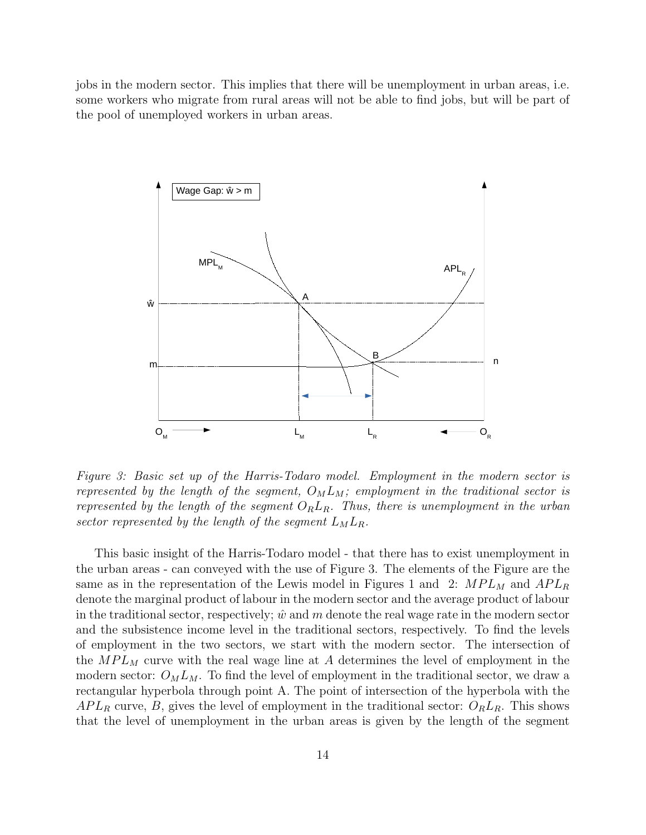jobs in the modern sector. This implies that there will be unemployment in urban areas, i.e. some workers who migrate from rural areas will not be able to find jobs, but will be part of the pool of unemployed workers in urban areas.



Figure 3: Basic set up of the Harris-Todaro model. Employment in the modern sector is represented by the length of the segment,  $O_M L_M$ ; employment in the traditional sector is represented by the length of the segment  $O_R L_R$ . Thus, there is unemployment in the urban sector represented by the length of the segment  $L_M L_R$ .

This basic insight of the Harris-Todaro model - that there has to exist unemployment in the urban areas - can conveyed with the use of Figure 3. The elements of the Figure are the same as in the representation of the Lewis model in Figures 1 and 2:  $MPL_M$  and  $APL_R$ denote the marginal product of labour in the modern sector and the average product of labour in the traditional sector, respectively;  $\hat{w}$  and m denote the real wage rate in the modern sector and the subsistence income level in the traditional sectors, respectively. To find the levels of employment in the two sectors, we start with the modern sector. The intersection of the  $MPL_M$  curve with the real wage line at A determines the level of employment in the modern sector:  $O_M L_M$ . To find the level of employment in the traditional sector, we draw a rectangular hyperbola through point A. The point of intersection of the hyperbola with the  $APL_R$  curve, B, gives the level of employment in the traditional sector:  $O_R L_R$ . This shows that the level of unemployment in the urban areas is given by the length of the segment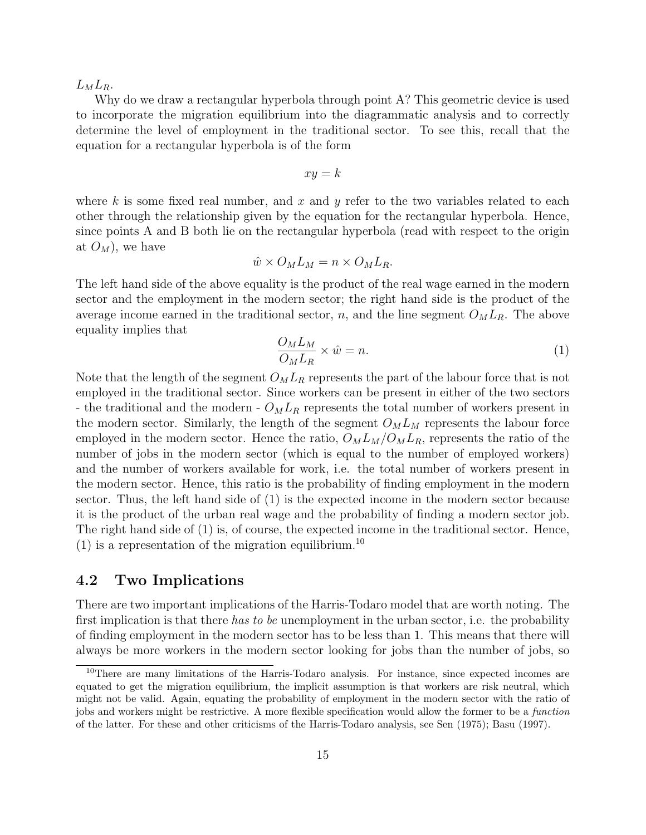$L_M L_R$ .

Why do we draw a rectangular hyperbola through point A? This geometric device is used to incorporate the migration equilibrium into the diagrammatic analysis and to correctly determine the level of employment in the traditional sector. To see this, recall that the equation for a rectangular hyperbola is of the form

$$
xy = k
$$

where k is some fixed real number, and x and y refer to the two variables related to each other through the relationship given by the equation for the rectangular hyperbola. Hence, since points A and B both lie on the rectangular hyperbola (read with respect to the origin at  $O_M$ , we have

$$
\hat{w} \times O_M L_M = n \times O_M L_R.
$$

The left hand side of the above equality is the product of the real wage earned in the modern sector and the employment in the modern sector; the right hand side is the product of the average income earned in the traditional sector, n, and the line segment  $O_M L_R$ . The above equality implies that

$$
\frac{O_M L_M}{O_M L_R} \times \hat{w} = n. \tag{1}
$$

Note that the length of the segment  $O_M L_R$  represents the part of the labour force that is not employed in the traditional sector. Since workers can be present in either of the two sectors - the traditional and the modern -  $O_M L_R$  represents the total number of workers present in the modern sector. Similarly, the length of the segment  $O_M L_M$  represents the labour force employed in the modern sector. Hence the ratio,  $O_M L_M / O_M L_R$ , represents the ratio of the number of jobs in the modern sector (which is equal to the number of employed workers) and the number of workers available for work, i.e. the total number of workers present in the modern sector. Hence, this ratio is the probability of finding employment in the modern sector. Thus, the left hand side of (1) is the expected income in the modern sector because it is the product of the urban real wage and the probability of finding a modern sector job. The right hand side of (1) is, of course, the expected income in the traditional sector. Hence, (1) is a representation of the migration equilibrium.<sup>10</sup>

### 4.2 Two Implications

There are two important implications of the Harris-Todaro model that are worth noting. The first implication is that there has to be unemployment in the urban sector, i.e. the probability of finding employment in the modern sector has to be less than 1. This means that there will always be more workers in the modern sector looking for jobs than the number of jobs, so

 $10$ There are many limitations of the Harris-Todaro analysis. For instance, since expected incomes are equated to get the migration equilibrium, the implicit assumption is that workers are risk neutral, which might not be valid. Again, equating the probability of employment in the modern sector with the ratio of jobs and workers might be restrictive. A more flexible specification would allow the former to be a *function* of the latter. For these and other criticisms of the Harris-Todaro analysis, see Sen (1975); Basu (1997).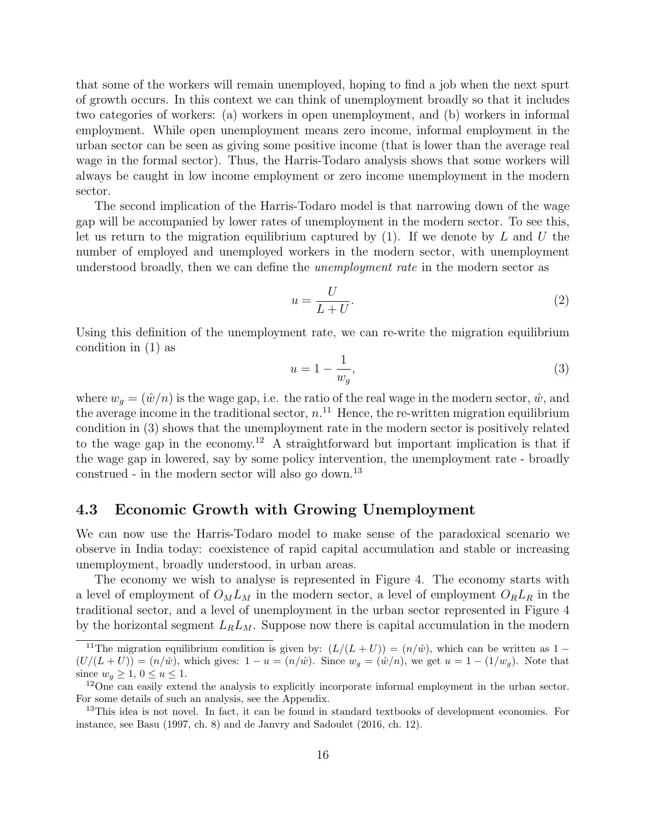that some of the workers will remain unemployed, hoping to find a job when the next spurt of growth occurs. In this context we can think of unemployment broadly so that it includes two categories of workers: (a) workers in open unemployment, and (b) workers in informal employment. While open unemployment means zero income, informal employment in the urban sector can be seen as giving some positive income (that is lower than the average real wage in the formal sector). Thus, the Harris-Todaro analysis shows that some workers will always be caught in low income employment or zero income unemployment in the modern sector.

The second implication of the Harris-Todaro model is that narrowing down of the wage gap will be accompanied by lower rates of unemployment in the modern sector. To see this, let us return to the migration equilibrium captured by  $(1)$ . If we denote by L and U the number of employed and unemployed workers in the modern sector, with unemployment understood broadly, then we can define the *unemployment rate* in the modern sector as

$$
u = \frac{U}{L+U}.\tag{2}
$$

Using this definition of the unemployment rate, we can re-write the migration equilibrium condition in (1) as

$$
u = 1 - \frac{1}{w_g},\tag{3}
$$

where  $w_g = (\hat{w}/n)$  is the wage gap, i.e. the ratio of the real wage in the modern sector,  $\hat{w}$ , and the average income in the traditional sector,  $n<sup>11</sup>$  Hence, the re-written migration equilibrium condition in (3) shows that the unemployment rate in the modern sector is positively related to the wage gap in the economy.<sup>12</sup> A straightforward but important implication is that if the wage gap in lowered, say by some policy intervention, the unemployment rate - broadly construed - in the modern sector will also go down.<sup>13</sup>

### 4.3 Economic Growth with Growing Unemployment

We can now use the Harris-Todaro model to make sense of the paradoxical scenario we observe in India today: coexistence of rapid capital accumulation and stable or increasing unemployment, broadly understood, in urban areas.

The economy we wish to analyse is represented in Figure 4. The economy starts with a level of employment of  $O_M L_M$  in the modern sector, a level of employment  $O_R L_R$  in the traditional sector, and a level of unemployment in the urban sector represented in Figure 4 by the horizontal segment  $L_R L_M$ . Suppose now there is capital accumulation in the modern

<sup>&</sup>lt;sup>11</sup>The migration equilibrium condition is given by:  $(L/(L+U)) = (n/\hat{w})$ , which can be written as 1 −  $(U/(L+U)) = (n/\hat{w})$ , which gives:  $1 - u = (n/\hat{w})$ . Since  $w_q = (\hat{w}/n)$ , we get  $u = 1 - (1/w_q)$ . Note that since  $w_a \geq 1, 0 \leq u \leq 1$ .

<sup>&</sup>lt;sup>12</sup>One can easily extend the analysis to explicitly incorporate informal employment in the urban sector. For some details of such an analysis, see the Appendix.

<sup>&</sup>lt;sup>13</sup>This idea is not novel. In fact, it can be found in standard textbooks of development economics. For instance, see Basu (1997, ch. 8) and de Janvry and Sadoulet (2016, ch. 12).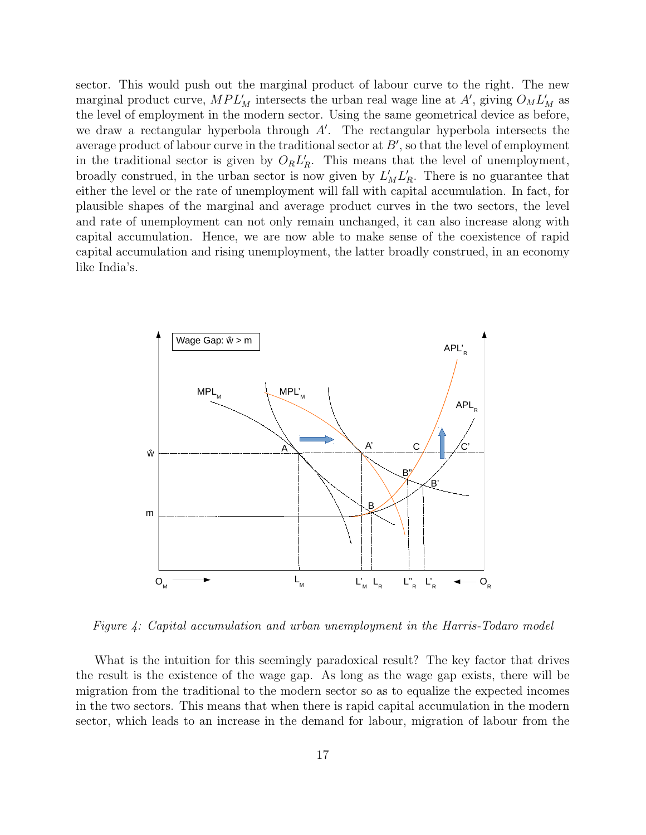sector. This would push out the marginal product of labour curve to the right. The new marginal product curve,  $MPL'_{M}$  intersects the urban real wage line at A', giving  $O_{M}L'_{M}$  as the level of employment in the modern sector. Using the same geometrical device as before, we draw a rectangular hyperbola through  $A'$ . The rectangular hyperbola intersects the average product of labour curve in the traditional sector at  $B'$ , so that the level of employment in the traditional sector is given by  $O_R L_R'$ . This means that the level of unemployment, broadly construed, in the urban sector is now given by  $L'_{M}L'_{R}$ . There is no guarantee that either the level or the rate of unemployment will fall with capital accumulation. In fact, for plausible shapes of the marginal and average product curves in the two sectors, the level and rate of unemployment can not only remain unchanged, it can also increase along with capital accumulation. Hence, we are now able to make sense of the coexistence of rapid capital accumulation and rising unemployment, the latter broadly construed, in an economy like India's.



Figure 4: Capital accumulation and urban unemployment in the Harris-Todaro model

What is the intuition for this seemingly paradoxical result? The key factor that drives the result is the existence of the wage gap. As long as the wage gap exists, there will be migration from the traditional to the modern sector so as to equalize the expected incomes in the two sectors. This means that when there is rapid capital accumulation in the modern sector, which leads to an increase in the demand for labour, migration of labour from the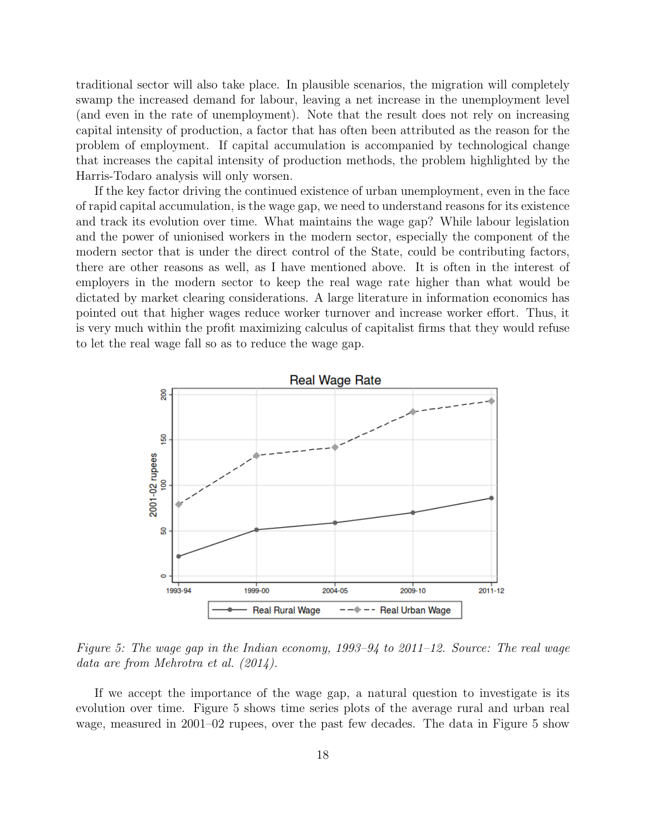traditional sector will also take place. In plausible scenarios, the migration will completely swamp the increased demand for labour, leaving a net increase in the unemployment level (and even in the rate of unemployment). Note that the result does not rely on increasing capital intensity of production, a factor that has often been attributed as the reason for the problem of employment. If capital accumulation is accompanied by technological change that increases the capital intensity of production methods, the problem highlighted by the Harris-Todaro analysis will only worsen.

If the key factor driving the continued existence of urban unemployment, even in the face of rapid capital accumulation, is the wage gap, we need to understand reasons for its existence and track its evolution over time. What maintains the wage gap? While labour legislation and the power of unionised workers in the modern sector, especially the component of the modern sector that is under the direct control of the State, could be contributing factors, there are other reasons as well, as I have mentioned above. It is often in the interest of employers in the modern sector to keep the real wage rate higher than what would be dictated by market clearing considerations. A large literature in information economics has pointed out that higher wages reduce worker turnover and increase worker effort. Thus, it is very much within the profit maximizing calculus of capitalist firms that they would refuse to let the real wage fall so as to reduce the wage gap.



Figure 5: The wage gap in the Indian economy, 1993–94 to 2011–12. Source: The real wage data are from Mehrotra et al. (2014).

If we accept the importance of the wage gap, a natural question to investigate is its evolution over time. Figure 5 shows time series plots of the average rural and urban real wage, measured in 2001–02 rupees, over the past few decades. The data in Figure 5 show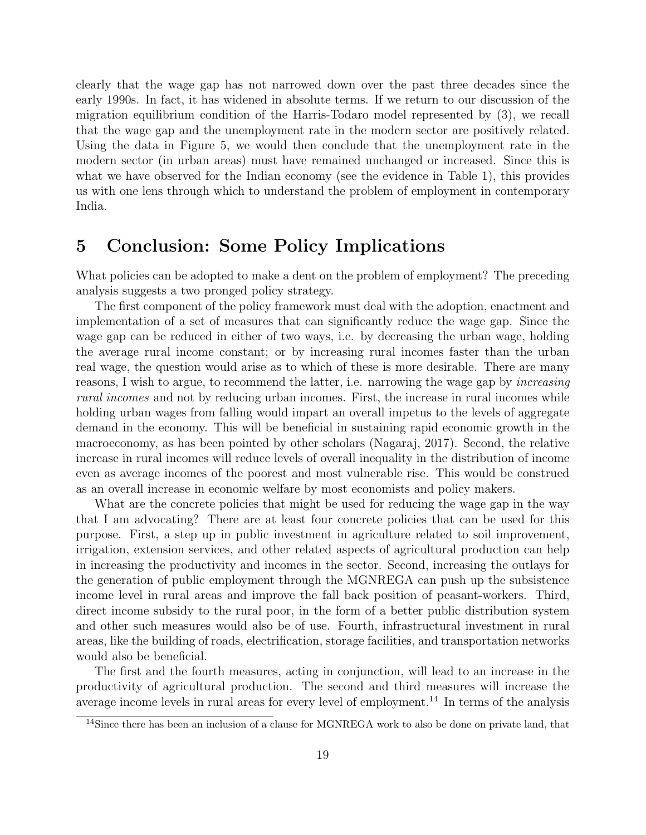clearly that the wage gap has not narrowed down over the past three decades since the early 1990s. In fact, it has widened in absolute terms. If we return to our discussion of the migration equilibrium condition of the Harris-Todaro model represented by (3), we recall that the wage gap and the unemployment rate in the modern sector are positively related. Using the data in Figure 5, we would then conclude that the unemployment rate in the modern sector (in urban areas) must have remained unchanged or increased. Since this is what we have observed for the Indian economy (see the evidence in Table 1), this provides us with one lens through which to understand the problem of employment in contemporary India.

# 5 Conclusion: Some Policy Implications

What policies can be adopted to make a dent on the problem of employment? The preceding analysis suggests a two pronged policy strategy.

The first component of the policy framework must deal with the adoption, enactment and implementation of a set of measures that can significantly reduce the wage gap. Since the wage gap can be reduced in either of two ways, i.e. by decreasing the urban wage, holding the average rural income constant; or by increasing rural incomes faster than the urban real wage, the question would arise as to which of these is more desirable. There are many reasons, I wish to argue, to recommend the latter, i.e. narrowing the wage gap by increasing rural incomes and not by reducing urban incomes. First, the increase in rural incomes while holding urban wages from falling would impart an overall impetus to the levels of aggregate demand in the economy. This will be beneficial in sustaining rapid economic growth in the macroeconomy, as has been pointed by other scholars (Nagaraj, 2017). Second, the relative increase in rural incomes will reduce levels of overall inequality in the distribution of income even as average incomes of the poorest and most vulnerable rise. This would be construed as an overall increase in economic welfare by most economists and policy makers.

What are the concrete policies that might be used for reducing the wage gap in the way that I am advocating? There are at least four concrete policies that can be used for this purpose. First, a step up in public investment in agriculture related to soil improvement, irrigation, extension services, and other related aspects of agricultural production can help in increasing the productivity and incomes in the sector. Second, increasing the outlays for the generation of public employment through the MGNREGA can push up the subsistence income level in rural areas and improve the fall back position of peasant-workers. Third, direct income subsidy to the rural poor, in the form of a better public distribution system and other such measures would also be of use. Fourth, infrastructural investment in rural areas, like the building of roads, electrification, storage facilities, and transportation networks would also be beneficial.

The first and the fourth measures, acting in conjunction, will lead to an increase in the productivity of agricultural production. The second and third measures will increase the average income levels in rural areas for every level of employment.<sup>14</sup> In terms of the analysis

<sup>14</sup>Since there has been an inclusion of a clause for MGNREGA work to also be done on private land, that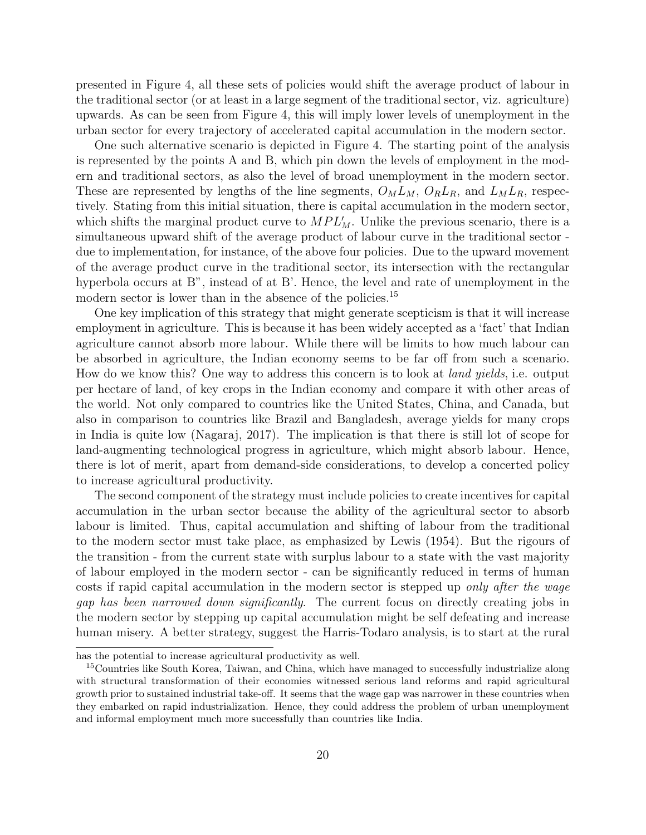presented in Figure 4, all these sets of policies would shift the average product of labour in the traditional sector (or at least in a large segment of the traditional sector, viz. agriculture) upwards. As can be seen from Figure 4, this will imply lower levels of unemployment in the urban sector for every trajectory of accelerated capital accumulation in the modern sector.

One such alternative scenario is depicted in Figure 4. The starting point of the analysis is represented by the points A and B, which pin down the levels of employment in the modern and traditional sectors, as also the level of broad unemployment in the modern sector. These are represented by lengths of the line segments,  $O_M L_M$ ,  $O_R L_R$ , and  $L_M L_R$ , respectively. Stating from this initial situation, there is capital accumulation in the modern sector, which shifts the marginal product curve to  $MPL'_M$ . Unlike the previous scenario, there is a simultaneous upward shift of the average product of labour curve in the traditional sector due to implementation, for instance, of the above four policies. Due to the upward movement of the average product curve in the traditional sector, its intersection with the rectangular hyperbola occurs at B", instead of at B'. Hence, the level and rate of unemployment in the modern sector is lower than in the absence of the policies.<sup>15</sup>

One key implication of this strategy that might generate scepticism is that it will increase employment in agriculture. This is because it has been widely accepted as a 'fact' that Indian agriculture cannot absorb more labour. While there will be limits to how much labour can be absorbed in agriculture, the Indian economy seems to be far off from such a scenario. How do we know this? One way to address this concern is to look at land yields, i.e. output per hectare of land, of key crops in the Indian economy and compare it with other areas of the world. Not only compared to countries like the United States, China, and Canada, but also in comparison to countries like Brazil and Bangladesh, average yields for many crops in India is quite low (Nagaraj, 2017). The implication is that there is still lot of scope for land-augmenting technological progress in agriculture, which might absorb labour. Hence, there is lot of merit, apart from demand-side considerations, to develop a concerted policy to increase agricultural productivity.

The second component of the strategy must include policies to create incentives for capital accumulation in the urban sector because the ability of the agricultural sector to absorb labour is limited. Thus, capital accumulation and shifting of labour from the traditional to the modern sector must take place, as emphasized by Lewis (1954). But the rigours of the transition - from the current state with surplus labour to a state with the vast majority of labour employed in the modern sector - can be significantly reduced in terms of human costs if rapid capital accumulation in the modern sector is stepped up only after the wage gap has been narrowed down significantly. The current focus on directly creating jobs in the modern sector by stepping up capital accumulation might be self defeating and increase human misery. A better strategy, suggest the Harris-Todaro analysis, is to start at the rural

has the potential to increase agricultural productivity as well.

<sup>&</sup>lt;sup>15</sup>Countries like South Korea, Taiwan, and China, which have managed to successfully industrialize along with structural transformation of their economies witnessed serious land reforms and rapid agricultural growth prior to sustained industrial take-off. It seems that the wage gap was narrower in these countries when they embarked on rapid industrialization. Hence, they could address the problem of urban unemployment and informal employment much more successfully than countries like India.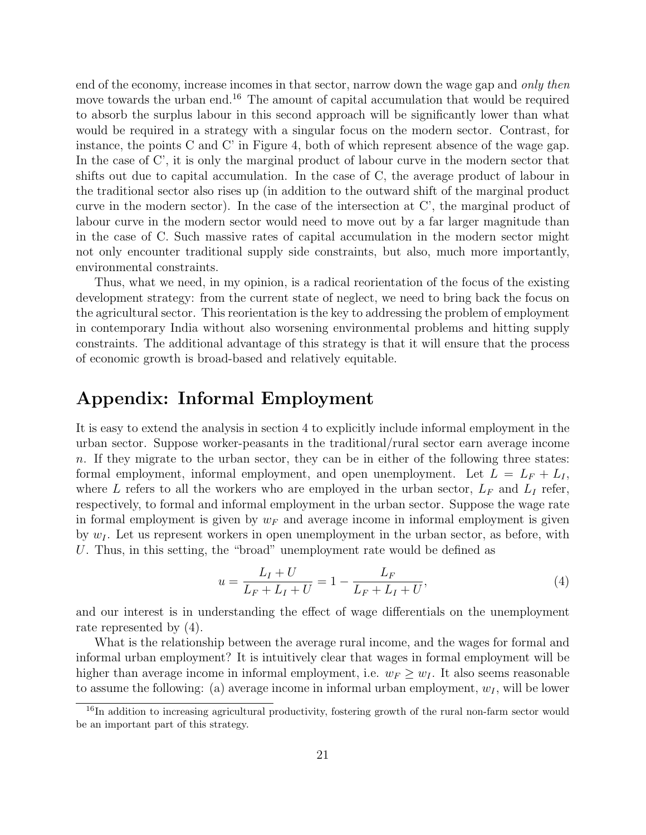end of the economy, increase incomes in that sector, narrow down the wage gap and only then move towards the urban end.<sup>16</sup> The amount of capital accumulation that would be required to absorb the surplus labour in this second approach will be significantly lower than what would be required in a strategy with a singular focus on the modern sector. Contrast, for instance, the points C and C' in Figure 4, both of which represent absence of the wage gap. In the case of C', it is only the marginal product of labour curve in the modern sector that shifts out due to capital accumulation. In the case of C, the average product of labour in the traditional sector also rises up (in addition to the outward shift of the marginal product curve in the modern sector). In the case of the intersection at C', the marginal product of labour curve in the modern sector would need to move out by a far larger magnitude than in the case of C. Such massive rates of capital accumulation in the modern sector might not only encounter traditional supply side constraints, but also, much more importantly, environmental constraints.

Thus, what we need, in my opinion, is a radical reorientation of the focus of the existing development strategy: from the current state of neglect, we need to bring back the focus on the agricultural sector. This reorientation is the key to addressing the problem of employment in contemporary India without also worsening environmental problems and hitting supply constraints. The additional advantage of this strategy is that it will ensure that the process of economic growth is broad-based and relatively equitable.

# Appendix: Informal Employment

It is easy to extend the analysis in section 4 to explicitly include informal employment in the urban sector. Suppose worker-peasants in the traditional/rural sector earn average income n. If they migrate to the urban sector, they can be in either of the following three states: formal employment, informal employment, and open unemployment. Let  $L = L_F + L_I$ , where L refers to all the workers who are employed in the urban sector,  $L_F$  and  $L_I$  refer, respectively, to formal and informal employment in the urban sector. Suppose the wage rate in formal employment is given by  $w_F$  and average income in informal employment is given by  $w_l$ . Let us represent workers in open unemployment in the urban sector, as before, with U. Thus, in this setting, the "broad" unemployment rate would be defined as

$$
u = \frac{L_I + U}{L_F + L_I + U} = 1 - \frac{L_F}{L_F + L_I + U},\tag{4}
$$

and our interest is in understanding the effect of wage differentials on the unemployment rate represented by (4).

What is the relationship between the average rural income, and the wages for formal and informal urban employment? It is intuitively clear that wages in formal employment will be higher than average income in informal employment, i.e.  $w_F \geq w_I$ . It also seems reasonable to assume the following: (a) average income in informal urban employment,  $w_I$ , will be lower

<sup>&</sup>lt;sup>16</sup>In addition to increasing agricultural productivity, fostering growth of the rural non-farm sector would be an important part of this strategy.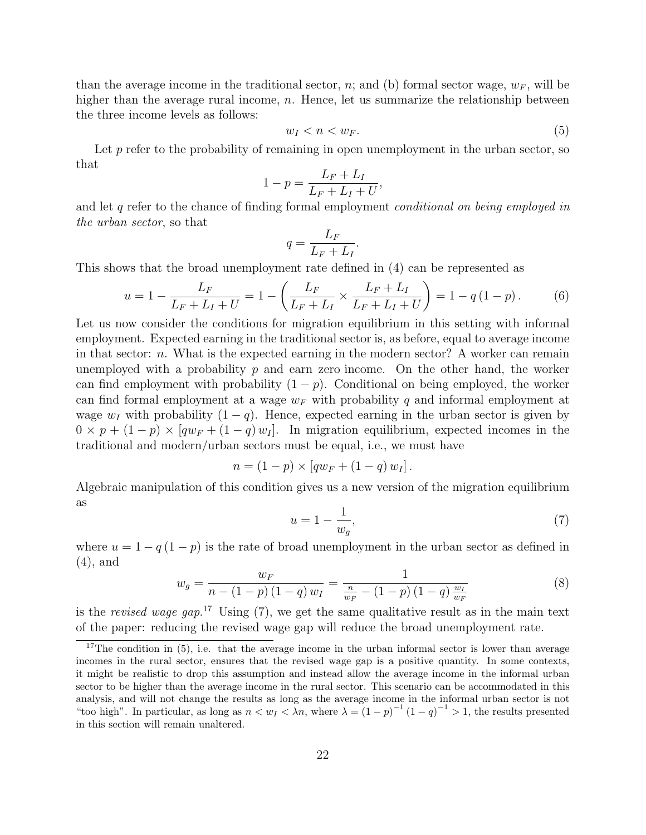than the average income in the traditional sector, n; and (b) formal sector wage,  $w_F$ , will be higher than the average rural income,  $n$ . Hence, let us summarize the relationship between the three income levels as follows:

$$
w_I < n < w_F. \tag{5}
$$

Let  $p$  refer to the probability of remaining in open unemployment in the urban sector, so that

$$
1 - p = \frac{L_F + L_I}{L_F + L_I + U},
$$

and let q refer to the chance of finding formal employment *conditional on being employed in* the urban sector, so that

$$
q = \frac{L_F}{L_F + L_I}.
$$

This shows that the broad unemployment rate defined in (4) can be represented as

$$
u = 1 - \frac{L_F}{L_F + L_I + U} = 1 - \left(\frac{L_F}{L_F + L_I} \times \frac{L_F + L_I}{L_F + L_I + U}\right) = 1 - q(1 - p). \tag{6}
$$

Let us now consider the conditions for migration equilibrium in this setting with informal employment. Expected earning in the traditional sector is, as before, equal to average income in that sector:  $n$ . What is the expected earning in the modern sector? A worker can remain unemployed with a probability  $p$  and earn zero income. On the other hand, the worker can find employment with probability  $(1 - p)$ . Conditional on being employed, the worker can find formal employment at a wage  $w_F$  with probability q and informal employment at wage  $w_I$  with probability  $(1 - q)$ . Hence, expected earning in the urban sector is given by  $0 \times p + (1-p) \times [qw_F + (1-q) w_I]$ . In migration equilibrium, expected incomes in the traditional and modern/urban sectors must be equal, i.e., we must have

$$
n = (1 - p) \times [qw_F + (1 - q) w_I].
$$

Algebraic manipulation of this condition gives us a new version of the migration equilibrium as

$$
u = 1 - \frac{1}{w_g},\tag{7}
$$

where  $u = 1 - q(1 - p)$  is the rate of broad unemployment in the urban sector as defined in (4), and

$$
w_g = \frac{w_F}{n - (1 - p)(1 - q)w_I} = \frac{1}{\frac{n}{w_F} - (1 - p)(1 - q)\frac{w_I}{w_F}}
$$
(8)

is the revised wage gap.<sup>17</sup> Using  $(7)$ , we get the same qualitative result as in the main text of the paper: reducing the revised wage gap will reduce the broad unemployment rate.

<sup>&</sup>lt;sup>17</sup>The condition in  $(5)$ , i.e. that the average income in the urban informal sector is lower than average incomes in the rural sector, ensures that the revised wage gap is a positive quantity. In some contexts, it might be realistic to drop this assumption and instead allow the average income in the informal urban sector to be higher than the average income in the rural sector. This scenario can be accommodated in this analysis, and will not change the results as long as the average income in the informal urban sector is not "too high". In particular, as long as  $n < w_I < \lambda n$ , where  $\lambda = (1-p)^{-1}(1-q)^{-1} > 1$ , the results presented in this section will remain unaltered.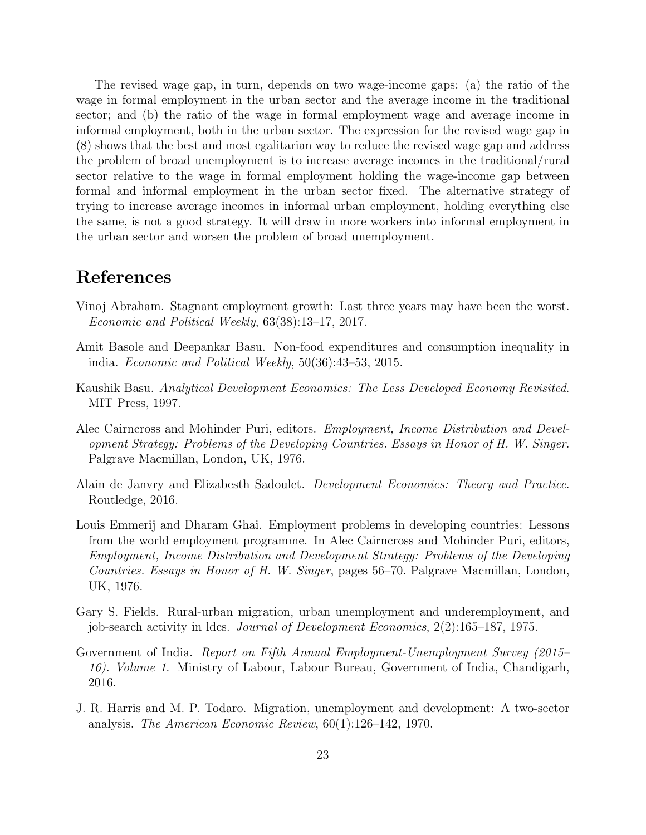The revised wage gap, in turn, depends on two wage-income gaps: (a) the ratio of the wage in formal employment in the urban sector and the average income in the traditional sector; and (b) the ratio of the wage in formal employment wage and average income in informal employment, both in the urban sector. The expression for the revised wage gap in (8) shows that the best and most egalitarian way to reduce the revised wage gap and address the problem of broad unemployment is to increase average incomes in the traditional/rural sector relative to the wage in formal employment holding the wage-income gap between formal and informal employment in the urban sector fixed. The alternative strategy of trying to increase average incomes in informal urban employment, holding everything else the same, is not a good strategy. It will draw in more workers into informal employment in the urban sector and worsen the problem of broad unemployment.

## References

- Vinoj Abraham. Stagnant employment growth: Last three years may have been the worst. Economic and Political Weekly, 63(38):13–17, 2017.
- Amit Basole and Deepankar Basu. Non-food expenditures and consumption inequality in india. Economic and Political Weekly, 50(36):43–53, 2015.
- Kaushik Basu. Analytical Development Economics: The Less Developed Economy Revisited. MIT Press, 1997.
- Alec Cairncross and Mohinder Puri, editors. Employment, Income Distribution and Development Strategy: Problems of the Developing Countries. Essays in Honor of H. W. Singer. Palgrave Macmillan, London, UK, 1976.
- Alain de Janvry and Elizabesth Sadoulet. Development Economics: Theory and Practice. Routledge, 2016.
- Louis Emmerij and Dharam Ghai. Employment problems in developing countries: Lessons from the world employment programme. In Alec Cairncross and Mohinder Puri, editors, Employment, Income Distribution and Development Strategy: Problems of the Developing Countries. Essays in Honor of H. W. Singer, pages 56–70. Palgrave Macmillan, London, UK, 1976.
- Gary S. Fields. Rural-urban migration, urban unemployment and underemployment, and job-search activity in ldcs. Journal of Development Economics, 2(2):165–187, 1975.
- Government of India. Report on Fifth Annual Employment-Unemployment Survey (2015– 16). Volume 1. Ministry of Labour, Labour Bureau, Government of India, Chandigarh, 2016.
- J. R. Harris and M. P. Todaro. Migration, unemployment and development: A two-sector analysis. The American Economic Review, 60(1):126–142, 1970.